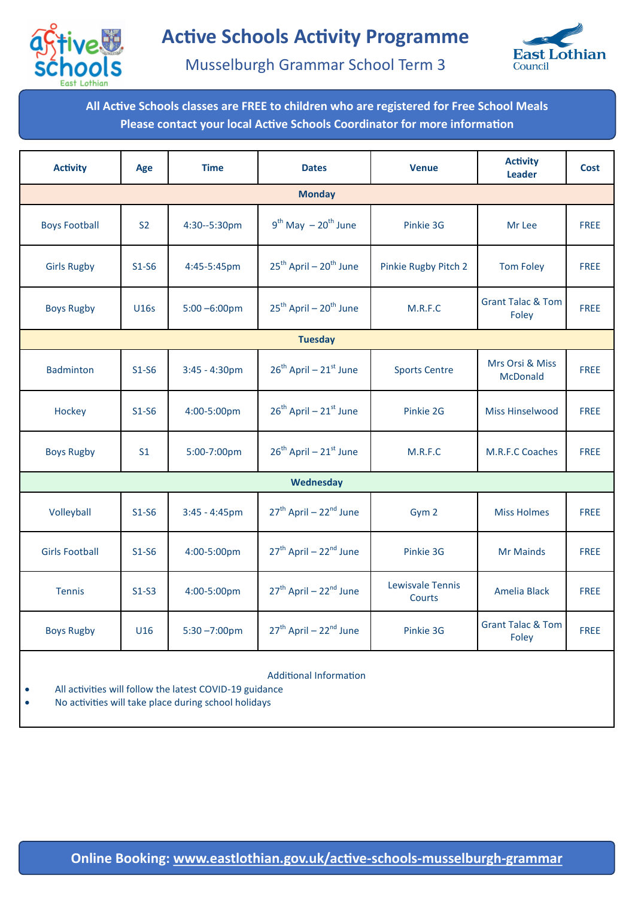



Musselburgh Grammar School Term 3

**All Active Schools classes are FREE to children who are registered for Free School Meals Please contact your local Active Schools Coordinator for more information**

| <b>Activity</b>       | Age            | <b>Time</b>      | <b>Dates</b>                                   | <b>Venue</b>               | <b>Activity</b><br><b>Leader</b>      | <b>Cost</b> |  |  |  |  |  |
|-----------------------|----------------|------------------|------------------------------------------------|----------------------------|---------------------------------------|-------------|--|--|--|--|--|
| <b>Monday</b>         |                |                  |                                                |                            |                                       |             |  |  |  |  |  |
| <b>Boys Football</b>  | S <sub>2</sub> | 4:30--5:30pm     | $9^{th}$ May $-20^{th}$ June                   | Pinkie 3G                  | Mr Lee                                | <b>FREE</b> |  |  |  |  |  |
| <b>Girls Rugby</b>    | $S1-S6$        | 4:45-5:45pm      | 25 <sup>th</sup> April - 20 <sup>th</sup> June | Pinkie Rugby Pitch 2       | <b>Tom Foley</b>                      | <b>FREE</b> |  |  |  |  |  |
| <b>Boys Rugby</b>     | U16s           | $5:00 - 6:00$ pm | 25 <sup>th</sup> April - 20 <sup>th</sup> June | M.R.F.C                    | <b>Grant Talac &amp; Tom</b><br>Foley | <b>FREE</b> |  |  |  |  |  |
| <b>Tuesday</b>        |                |                  |                                                |                            |                                       |             |  |  |  |  |  |
| <b>Badminton</b>      | $S1-S6$        | $3:45 - 4:30pm$  | 26 <sup>th</sup> April - 21 <sup>st</sup> June | <b>Sports Centre</b>       | Mrs Orsi & Miss<br><b>McDonald</b>    | <b>FREE</b> |  |  |  |  |  |
| Hockey                | $S1-S6$        | 4:00-5:00pm      | 26 <sup>th</sup> April - 21 <sup>st</sup> June | Pinkie 2G                  | <b>Miss Hinselwood</b>                | <b>FREE</b> |  |  |  |  |  |
| <b>Boys Rugby</b>     | S <sub>1</sub> | 5:00-7:00pm      | $26^{th}$ April – $21^{st}$ June               | M.R.F.C                    | M.R.F.C Coaches                       | <b>FREE</b> |  |  |  |  |  |
| Wednesday             |                |                  |                                                |                            |                                       |             |  |  |  |  |  |
| Volleyball            | $S1-S6$        | $3:45 - 4:45$ pm | 27 <sup>th</sup> April - 22 <sup>nd</sup> June | Gym 2                      | <b>Miss Holmes</b>                    | <b>FREE</b> |  |  |  |  |  |
| <b>Girls Football</b> | $S1-S6$        | 4:00-5:00pm      | 27 <sup>th</sup> April - 22 <sup>nd</sup> June | Pinkie 3G                  | <b>Mr Mainds</b>                      | <b>FREE</b> |  |  |  |  |  |
| <b>Tennis</b>         | $S1-S3$        | 4:00-5:00pm      | 27 <sup>th</sup> April – 22 <sup>nd</sup> June | Lewisvale Tennis<br>Courts | Amelia Black                          | <b>FREE</b> |  |  |  |  |  |
| <b>Boys Rugby</b>     | U16            | $5:30 - 7:00$ pm | 27 <sup>th</sup> April - 22 <sup>nd</sup> June | Pinkie 3G                  | <b>Grant Talac &amp; Tom</b><br>Foley | <b>FREE</b> |  |  |  |  |  |
|                       |                |                  |                                                |                            |                                       |             |  |  |  |  |  |

Additional Information

All activities will follow the latest COVID-19 guidance

No activities will take place during school holidays